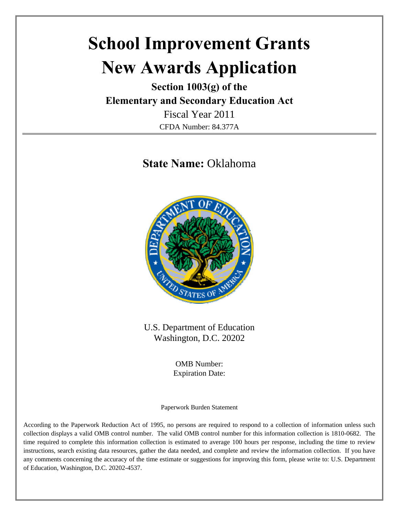# **School Improvement Grants New Awards Application**

**Section 1003(g) of the Elementary and Secondary Education Act** 

> Fiscal Year 2011 CFDA Number: 84.377A

## **State Name:** Oklahoma



U.S. Department of Education Washington, D.C. 20202

> OMB Number: Expiration Date:

Paperwork Burden Statement

According to the Paperwork Reduction Act of 1995, no persons are required to respond to a collection of information unless such collection displays a valid OMB control number. The valid OMB control number for this information collection is 1810-0682. The time required to complete this information collection is estimated to average 100 hours per response, including the time to review instructions, search existing data resources, gather the data needed, and complete and review the information collection. If you have any comments concerning the accuracy of the time estimate or suggestions for improving this form, please write to: U.S. Department of Education, Washington, D.C. 20202-4537.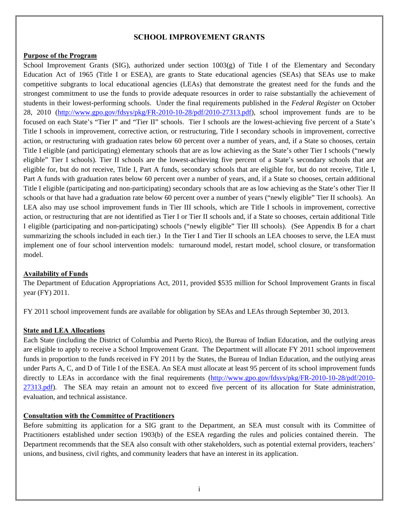#### **SCHOOL IMPROVEMENT GRANTS**

#### **Purpose of the Program**

School Improvement Grants (SIG), authorized under section  $1003(g)$  of Title I of the Elementary and Secondary Education Act of 1965 (Title I or ESEA), are grants to State educational agencies (SEAs) that SEAs use to make competitive subgrants to local educational agencies (LEAs) that demonstrate the greatest need for the funds and the strongest commitment to use the funds to provide adequate resources in order to raise substantially the achievement of students in their lowest-performing schools. Under the final requirements published in the *Federal Register* on October 28, 2010 (http://www.gpo.gov/fdsys/pkg/FR-2010-10-28/pdf/2010-27313.pdf), school improvement funds are to be focused on each State's "Tier I" and "Tier II" schools. Tier I schools are the lowest-achieving five percent of a State's Title I schools in improvement, corrective action, or restructuring, Title I secondary schools in improvement, corrective action, or restructuring with graduation rates below 60 percent over a number of years, and, if a State so chooses, certain Title I eligible (and participating) elementary schools that are as low achieving as the State's other Tier I schools ("newly eligible" Tier I schools). Tier II schools are the lowest-achieving five percent of a State's secondary schools that are eligible for, but do not receive, Title I, Part A funds, secondary schools that are eligible for, but do not receive, Title I, Part A funds with graduation rates below 60 percent over a number of years, and, if a State so chooses, certain additional Title I eligible (participating and non-participating) secondary schools that are as low achieving as the State's other Tier II schools or that have had a graduation rate below 60 percent over a number of years ("newly eligible" Tier II schools). An LEA also may use school improvement funds in Tier III schools, which are Title I schools in improvement, corrective action, or restructuring that are not identified as Tier I or Tier II schools and, if a State so chooses, certain additional Title I eligible (participating and non-participating) schools ("newly eligible" Tier III schools). (See Appendix B for a chart summarizing the schools included in each tier.) In the Tier I and Tier II schools an LEA chooses to serve, the LEA must implement one of four school intervention models: turnaround model, restart model, school closure, or transformation model.

#### **Availability of Funds**

The Department of Education Appropriations Act, 2011, provided \$535 million for School Improvement Grants in fiscal year (FY) 2011.

FY 2011 school improvement funds are available for obligation by SEAs and LEAs through September 30, 2013.

#### **State and LEA Allocations**

Each State (including the District of Columbia and Puerto Rico), the Bureau of Indian Education, and the outlying areas are eligible to apply to receive a School Improvement Grant. The Department will allocate FY 2011 school improvement funds in proportion to the funds received in FY 2011 by the States, the Bureau of Indian Education, and the outlying areas under Parts A, C, and D of Title I of the ESEA. An SEA must allocate at least 95 percent of its school improvement funds directly to LEAs in accordance with the final requirements (http://www.gpo.gov/fdsys/pkg/FR-2010-10-28/pdf/2010-27313.pdf). The SEA may retain an amount not to exceed five percent of its allocation for State administration, evaluation, and technical assistance.

#### **Consultation with the Committee of Practitioners**

Before submitting its application for a SIG grant to the Department, an SEA must consult with its Committee of Practitioners established under section 1903(b) of the ESEA regarding the rules and policies contained therein. The Department recommends that the SEA also consult with other stakeholders, such as potential external providers, teachers' unions, and business, civil rights, and community leaders that have an interest in its application.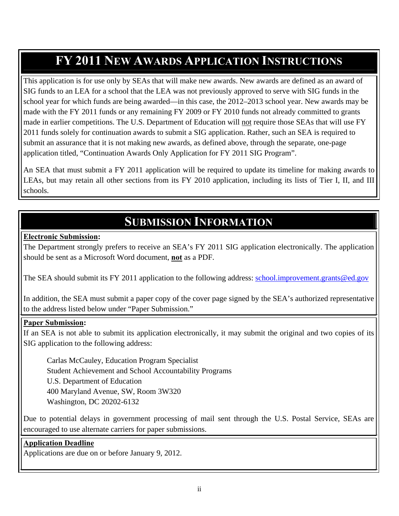## **FY 2011 NEW AWARDS APPLICATION INSTRUCTIONS**

This application is for use only by SEAs that will make new awards. New awards are defined as an award of SIG funds to an LEA for a school that the LEA was not previously approved to serve with SIG funds in the school year for which funds are being awarded—in this case, the 2012–2013 school year. New awards may be made with the FY 2011 funds or any remaining FY 2009 or FY 2010 funds not already committed to grants made in earlier competitions. The U.S. Department of Education will not require those SEAs that will use FY 2011 funds solely for continuation awards to submit a SIG application. Rather, such an SEA is required to submit an assurance that it is not making new awards, as defined above, through the separate, one-page application titled, "Continuation Awards Only Application for FY 2011 SIG Program".

An SEA that must submit a FY 2011 application will be required to update its timeline for making awards to LEAs, but may retain all other sections from its FY 2010 application, including its lists of Tier I, II, and III schools.

## **SUBMISSION INFORMATION**

#### **Electronic Submission:**

The Department strongly prefers to receive an SEA's FY 2011 SIG application electronically. The application should be sent as a Microsoft Word document, **not** as a PDF.

The SEA should submit its FY 2011 application to the following address: school.improvement.grants@ed.gov

In addition, the SEA must submit a paper copy of the cover page signed by the SEA's authorized representative to the address listed below under "Paper Submission."

#### **Paper Submission:**

If an SEA is not able to submit its application electronically, it may submit the original and two copies of its SIG application to the following address:

 Carlas McCauley, Education Program Specialist Student Achievement and School Accountability Programs U.S. Department of Education 400 Maryland Avenue, SW, Room 3W320 Washington, DC 20202-6132

Due to potential delays in government processing of mail sent through the U.S. Postal Service, SEAs are encouraged to use alternate carriers for paper submissions.

#### **Application Deadline**

Applications are due on or before January 9, 2012.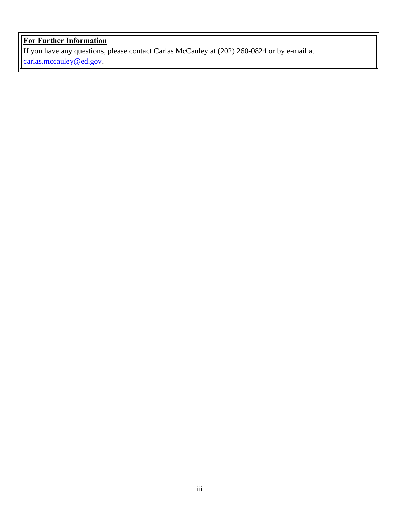## **For Further Information**

If you have any questions, please contact Carlas McCauley at (202) 260-0824 or by e-mail at carlas.mccauley@ed.gov.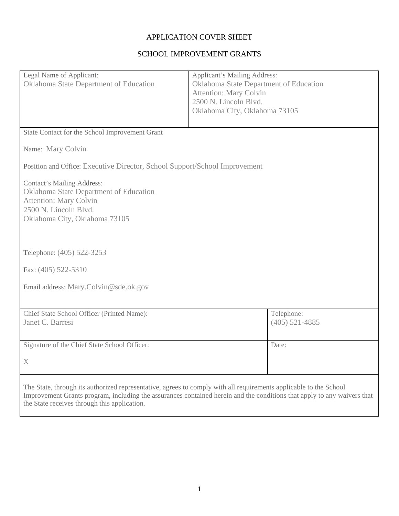## APPLICATION COVER SHEET

## SCHOOL IMPROVEMENT GRANTS

| Legal Name of Applicant:<br>Oklahoma State Department of Education                                                                                                     | <b>Applicant's Mailing Address:</b><br>Oklahoma State Department of Education<br><b>Attention: Mary Colvin</b><br>2500 N. Lincoln Blvd.<br>Oklahoma City, Oklahoma 73105 |
|------------------------------------------------------------------------------------------------------------------------------------------------------------------------|--------------------------------------------------------------------------------------------------------------------------------------------------------------------------|
| State Contact for the School Improvement Grant                                                                                                                         |                                                                                                                                                                          |
| Name: Mary Colvin                                                                                                                                                      |                                                                                                                                                                          |
| Position and Office: Executive Director, School Support/School Improvement                                                                                             |                                                                                                                                                                          |
| <b>Contact's Mailing Address:</b><br>Oklahoma State Department of Education<br><b>Attention: Mary Colvin</b><br>2500 N. Lincoln Blvd.<br>Oklahoma City, Oklahoma 73105 |                                                                                                                                                                          |
| Telephone: (405) 522-3253                                                                                                                                              |                                                                                                                                                                          |
| Fax: (405) 522-5310                                                                                                                                                    |                                                                                                                                                                          |
| Email address: Mary.Colvin@sde.ok.gov                                                                                                                                  |                                                                                                                                                                          |
| Chief State School Officer (Printed Name):<br>Janet C. Barresi                                                                                                         | Telephone:<br>$(405)$ 521-4885                                                                                                                                           |
| Signature of the Chief State School Officer:                                                                                                                           | Date:                                                                                                                                                                    |
| $\mathbf X$                                                                                                                                                            |                                                                                                                                                                          |
| The State, through its authorized representative, agrees to comply with all requirements applicable to the School<br>the State receives through this application.      | Improvement Grants program, including the assurances contained herein and the conditions that apply to any waivers that                                                  |

<u> 1989 - Johann Stoff, amerikansk politiker (d. 1989)</u>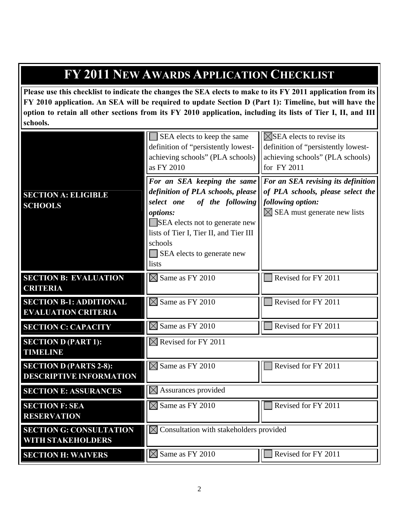## **FY 2011 NEW AWARDS APPLICATION CHECKLIST**

**Please use this checklist to indicate the changes the SEA elects to make to its FY 2011 application from its FY 2010 application. An SEA will be required to update Section D (Part 1): Timeline, but will have the option to retain all other sections from its FY 2010 application, including its lists of Tier I, II, and III schools.** 

|                                                                 | SEA elects to keep the same<br>definition of "persistently lowest-<br>achieving schools" (PLA schools)<br>as FY 2010                                                                                                                         | $\boxtimes$ SEA elects to revise its<br>definition of "persistently lowest-<br>achieving schools" (PLA schools)<br>for FY 2011       |  |
|-----------------------------------------------------------------|----------------------------------------------------------------------------------------------------------------------------------------------------------------------------------------------------------------------------------------------|--------------------------------------------------------------------------------------------------------------------------------------|--|
| <b>SECTION A: ELIGIBLE</b><br><b>SCHOOLS</b>                    | For an SEA keeping the same<br>definition of PLA schools, please<br>of the following<br>select one<br>options:<br>SEA elects not to generate new<br>lists of Tier I, Tier II, and Tier III<br>schools<br>SEA elects to generate new<br>lists | For an SEA revising its definition<br>of PLA schools, please select the<br>following option:<br>$\times$ SEA must generate new lists |  |
| <b>SECTION B: EVALUATION</b><br><b>CRITERIA</b>                 | $\boxtimes$ Same as FY 2010                                                                                                                                                                                                                  | Revised for FY 2011                                                                                                                  |  |
| <b>SECTION B-1: ADDITIONAL</b><br><b>EVALUATION CRITERIA</b>    | $\boxtimes$ Same as FY 2010                                                                                                                                                                                                                  | Revised for FY 2011                                                                                                                  |  |
| <b>SECTION C: CAPACITY</b>                                      | $\boxtimes$ Same as FY 2010                                                                                                                                                                                                                  | Revised for FY 2011                                                                                                                  |  |
| <b>SECTION D (PART 1):</b><br><b>TIMELINE</b>                   | $\boxtimes$ Revised for FY 2011                                                                                                                                                                                                              |                                                                                                                                      |  |
| <b>SECTION D (PARTS 2-8):</b><br><b>DESCRIPTIVE INFORMATION</b> | $\boxtimes$ Same as FY 2010                                                                                                                                                                                                                  | Revised for FY 2011                                                                                                                  |  |
| <b>SECTION E: ASSURANCES</b>                                    | $\boxtimes$ Assurances provided                                                                                                                                                                                                              |                                                                                                                                      |  |
| <b>SECTION F: SEA</b><br><b>RESERVATION</b>                     | $\boxtimes$ Same as FY 2010                                                                                                                                                                                                                  | Revised for FY 2011                                                                                                                  |  |
| <b>SECTION G: CONSULTATION</b><br><b>WITH STAKEHOLDERS</b>      | $\boxtimes$ Consultation with stakeholders provided                                                                                                                                                                                          |                                                                                                                                      |  |
| <b>SECTION H: WAIVERS</b>                                       | $\boxtimes$ Same as FY 2010                                                                                                                                                                                                                  | Revised for FY 2011                                                                                                                  |  |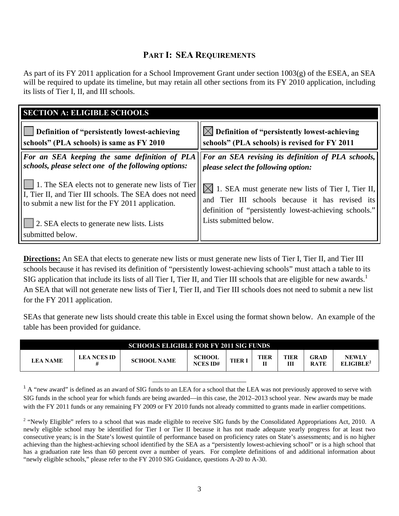## **PART I: SEA REQUIREMENTS**

As part of its FY 2011 application for a School Improvement Grant under section  $1003(g)$  of the ESEA, an SEA will be required to update its timeline, but may retain all other sections from its FY 2010 application, including its lists of Tier I, II, and III schools.

| <b>SECTION A: ELIGIBLE SCHOOLS</b>                             |                                                              |
|----------------------------------------------------------------|--------------------------------------------------------------|
| Definition of "persistently lowest-achieving                   | $\boxtimes$ Definition of "persistently lowest-achieving     |
| schools" (PLA schools) is same as FY 2010                      | schools" (PLA schools) is revised for FY 2011                |
| For an SEA keeping the same definition of PLA                  | <b>For an SEA revising its definition of PLA schools,</b>    |
| schools, please select one of the following options:           | please select the following option:                          |
| 1. The SEA elects not to generate new lists of Tier            | $\bowtie$ 1. SEA must generate new lists of Tier I, Tier II, |
| I, Tier II, and Tier III schools. The SEA does not need        | and Tier III schools because it has revised its              |
| to submit a new list for the FY 2011 application.              | definition of "persistently lowest-achieving schools."       |
| 2. SEA elects to generate new lists. Lists<br>submitted below. | Lists submitted below.                                       |

**Directions:** An SEA that elects to generate new lists or must generate new lists of Tier I, Tier II, and Tier III schools because it has revised its definition of "persistently lowest-achieving schools" must attach a table to its SIG application that include its lists of all Tier I, Tier II, and Tier III schools that are eligible for new awards.<sup>1</sup> An SEA that will not generate new lists of Tier I, Tier II, and Tier III schools does not need to submit a new list for the FY 2011 application.

SEAs that generate new lists should create this table in Excel using the format shown below. An example of the table has been provided for guidance.

| <b>SCHOOLS ELIGIBLE FOR FY 2011 SIG FUNDS</b> |             |                    |                                  |       |            |                  |                            |                                       |
|-----------------------------------------------|-------------|--------------------|----------------------------------|-------|------------|------------------|----------------------------|---------------------------------------|
| LEA NAME                                      | LEA NCES ID | <b>SCHOOL NAME</b> | <b>SCHOOL</b><br><b>NCES ID#</b> | TIER. | TIER<br>тт | <b>TIER</b><br>Ш | <b>GRAD</b><br><b>RATE</b> | <b>NEWLY</b><br>ELIGIBLE <sup>2</sup> |

<sup>1</sup> A "new award" is defined as an award of SIG funds to an LEA for a school that the LEA was not previously approved to serve with SIG funds in the school year for which funds are being awarded—in this case, the 2012–2013 school year. New awards may be made with the FY 2011 funds or any remaining FY 2009 or FY 2010 funds not already committed to grants made in earlier competitions.

<sup>2</sup> "Newly Eligible" refers to a school that was made eligible to receive SIG funds by the Consolidated Appropriations Act, 2010. A newly eligible school may be identified for Tier I or Tier II because it has not made adequate yearly progress for at least two consecutive years; is in the State's lowest quintile of performance based on proficiency rates on State's assessments; and is no higher achieving than the highest-achieving school identified by the SEA as a "persistently lowest-achieving school" or is a high school that has a graduation rate less than 60 percent over a number of years. For complete definitions of and additional information about "newly eligible schools," please refer to the FY 2010 SIG Guidance, questions A-20 to A-30.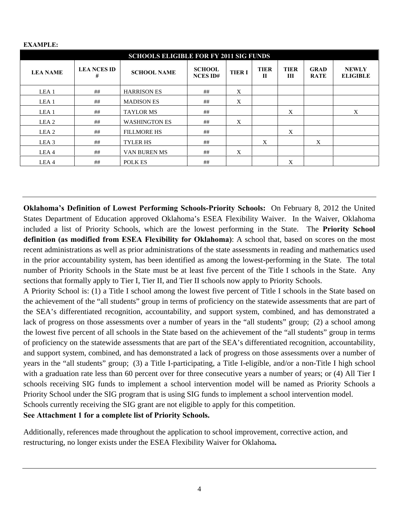| <b>SCHOOLS ELIGIBLE FOR FY 2011 SIG FUNDS</b> |                         |                      |                                  |              |                  |                  |                            |                                 |
|-----------------------------------------------|-------------------------|----------------------|----------------------------------|--------------|------------------|------------------|----------------------------|---------------------------------|
| <b>LEA NAME</b>                               | <b>LEA NCES ID</b><br># | <b>SCHOOL NAME</b>   | <b>SCHOOL</b><br><b>NCES ID#</b> | <b>TIERI</b> | <b>TIER</b><br>Н | <b>TIER</b><br>Ш | <b>GRAD</b><br><b>RATE</b> | <b>NEWLY</b><br><b>ELIGIBLE</b> |
| LEA <sub>1</sub>                              | ##                      | <b>HARRISON ES</b>   | ##                               | X            |                  |                  |                            |                                 |
| LEA <sub>1</sub>                              | ##                      | <b>MADISON ES</b>    | ##                               | X            |                  |                  |                            |                                 |
| LEA <sub>1</sub>                              | ##                      | <b>TAYLOR MS</b>     | ##                               |              |                  | X                |                            | X                               |
| LEA <sub>2</sub>                              | ##                      | <b>WASHINGTON ES</b> | ##                               | X            |                  |                  |                            |                                 |
| LEA <sub>2</sub>                              | ##                      | <b>FILLMORE HS</b>   | ##                               |              |                  | X                |                            |                                 |
| LEA <sub>3</sub>                              | ##                      | <b>TYLER HS</b>      | ##                               |              | X                |                  | X                          |                                 |
| LEA4                                          | ##                      | VAN BUREN MS         | ##                               | X            |                  |                  |                            |                                 |
| LEA4                                          | ##                      | POLK ES              | ##                               |              |                  | X                |                            |                                 |

#### **EXAMPLE:**

**Oklahoma's Definition of Lowest Performing Schools-Priority Schools:** On February 8, 2012 the United States Department of Education approved Oklahoma's ESEA Flexibility Waiver. In the Waiver, Oklahoma included a list of Priority Schools, which are the lowest performing in the State. The **Priority School definition (as modified from ESEA Flexibility for Oklahoma)**: A school that, based on scores on the most recent administrations as well as prior administrations of the state assessments in reading and mathematics used in the prior accountability system, has been identified as among the lowest-performing in the State. The total number of Priority Schools in the State must be at least five percent of the Title I schools in the State. Any sections that formally apply to Tier I, Tier II, and Tier II schools now apply to Priority Schools.

A Priority School is: (1) a Title I school among the lowest five percent of Title I schools in the State based on the achievement of the "all students" group in terms of proficiency on the statewide assessments that are part of the SEA's differentiated recognition, accountability, and support system, combined, and has demonstrated a lack of progress on those assessments over a number of years in the "all students" group; (2) a school among the lowest five percent of all schools in the State based on the achievement of the "all students" group in terms of proficiency on the statewide assessments that are part of the SEA's differentiated recognition, accountability, and support system, combined, and has demonstrated a lack of progress on those assessments over a number of years in the "all students" group; (3) a Title I-participating, a Title I-eligible, and/or a non-Title I high school with a graduation rate less than 60 percent over for three consecutive years a number of years; or (4) All Tier I schools receiving SIG funds to implement a school intervention model will be named as Priority Schools a Priority School under the SIG program that is using SIG funds to implement a school intervention model. Schools currently receiving the SIG grant are not eligible to apply for this competition.

**See Attachment 1 for a complete list of Priority Schools.** 

Additionally, references made throughout the application to school improvement, corrective action, and restructuring, no longer exists under the ESEA Flexibility Waiver for Oklahoma**.**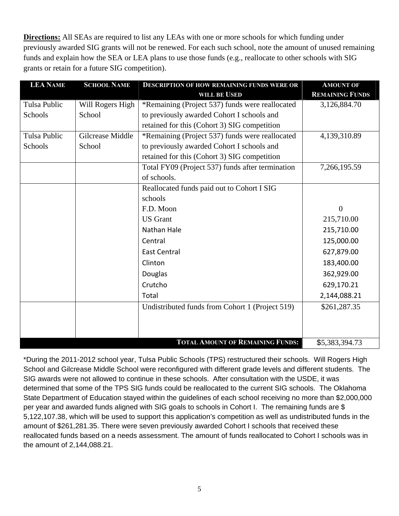**Directions:** All SEAs are required to list any LEAs with one or more schools for which funding under previously awarded SIG grants will not be renewed. For each such school, note the amount of unused remaining funds and explain how the SEA or LEA plans to use those funds (e.g., reallocate to other schools with SIG grants or retain for a future SIG competition).

| <b>LEA NAME</b>     | <b>SCHOOL NAME</b> | <b>DESCRIPTION OF HOW REMAINING FUNDS WERE OR</b> | <b>AMOUNT OF</b>       |
|---------------------|--------------------|---------------------------------------------------|------------------------|
|                     |                    | WILL BE USED                                      | <b>REMAINING FUNDS</b> |
| <b>Tulsa Public</b> | Will Rogers High   | *Remaining (Project 537) funds were reallocated   | 3,126,884.70           |
| Schools             | School             | to previously awarded Cohort I schools and        |                        |
|                     |                    | retained for this (Cohort 3) SIG competition      |                        |
| <b>Tulsa Public</b> | Gilcrease Middle   | *Remaining (Project 537) funds were reallocated   | 4,139,310.89           |
| Schools             | School             | to previously awarded Cohort I schools and        |                        |
|                     |                    | retained for this (Cohort 3) SIG competition      |                        |
|                     |                    | Total FY09 (Project 537) funds after termination  | 7,266,195.59           |
|                     |                    | of schools.                                       |                        |
|                     |                    | Reallocated funds paid out to Cohort I SIG        |                        |
|                     |                    | schools                                           |                        |
|                     |                    | F.D. Moon                                         | $\overline{0}$         |
|                     |                    | <b>US</b> Grant                                   | 215,710.00             |
|                     |                    | Nathan Hale                                       | 215,710.00             |
|                     |                    | Central                                           | 125,000.00             |
|                     |                    | <b>East Central</b>                               | 627,879.00             |
|                     |                    | Clinton                                           | 183,400.00             |
|                     |                    | Douglas                                           | 362,929.00             |
|                     |                    | Crutcho                                           | 629,170.21             |
|                     |                    | Total                                             | 2,144,088.21           |
|                     |                    | Undistributed funds from Cohort 1 (Project 519)   | \$261,287.35           |
|                     |                    |                                                   |                        |
|                     |                    |                                                   |                        |
|                     |                    | <b>TOTAL AMOUNT OF REMAINING FUNDS:</b>           | \$5,383,394.73         |

\*During the 2011-2012 school year, Tulsa Public Schools (TPS) restructured their schools. Will Rogers High School and Gilcrease Middle School were reconfigured with different grade levels and different students. The SIG awards were not allowed to continue in these schools. After consultation with the USDE, it was determined that some of the TPS SIG funds could be reallocated to the current SIG schools. The Oklahoma State Department of Education stayed within the guidelines of each school receiving no more than \$2,000,000 per year and awarded funds aligned with SIG goals to schools in Cohort I. The remaining funds are \$ 5,122,107.38, which will be used to support this application's competition as well as undistributed funds in the amount of \$261,281.35. There were seven previously awarded Cohort I schools that received these reallocated funds based on a needs assessment. The amount of funds reallocated to Cohort I schools was in the amount of 2,144,088.21.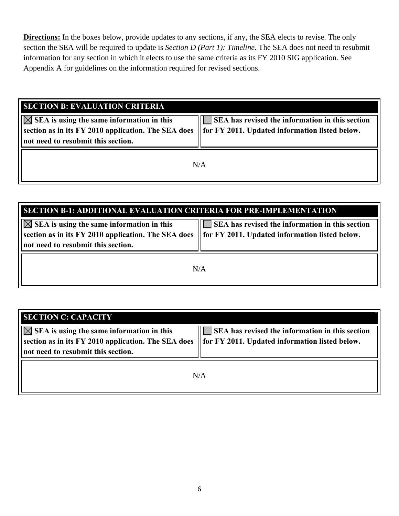**Directions:** In the boxes below, provide updates to any sections, if any, the SEA elects to revise. The only section the SEA will be required to update is *Section D (Part 1): Timeline*. The SEA does not need to resubmit information for any section in which it elects to use the same criteria as its FY 2010 SIG application. See Appendix A for guidelines on the information required for revised sections.

| <b>SECTION B: EVALUATION CRITERIA</b>                                                                                                                |                                                                                                      |
|------------------------------------------------------------------------------------------------------------------------------------------------------|------------------------------------------------------------------------------------------------------|
| $ \bigotimes$ SEA is using the same information in this<br>section as in its FY 2010 application. The SEA does<br>not need to resubmit this section. | SEA has revised the information in this section<br>   for FY 2011. Updated information listed below. |
|                                                                                                                                                      | N/A                                                                                                  |

| <b>SECTION B-1: ADDITIONAL EVALUATION CRITERIA FOR PRE-IMPLEMENTATION</b>                                                                           |                                                                                                                     |  |  |  |
|-----------------------------------------------------------------------------------------------------------------------------------------------------|---------------------------------------------------------------------------------------------------------------------|--|--|--|
| $ \boxtimes$ SEA is using the same information in this<br>section as in its FY 2010 application. The SEA does<br>not need to resubmit this section. | $\blacksquare$ SEA has revised the information in this section<br>   for FY 2011. Updated information listed below. |  |  |  |
| N/A                                                                                                                                                 |                                                                                                                     |  |  |  |

| <b>SECTION C: CAPACITY</b>                                                                                                                           |                                                                                                                     |
|------------------------------------------------------------------------------------------------------------------------------------------------------|---------------------------------------------------------------------------------------------------------------------|
| $ \triangle $ SEA is using the same information in this<br>section as in its FY 2010 application. The SEA does<br>not need to resubmit this section. | $\blacksquare$ SEA has revised the information in this section<br>   for FY 2011. Updated information listed below. |
|                                                                                                                                                      | N/A                                                                                                                 |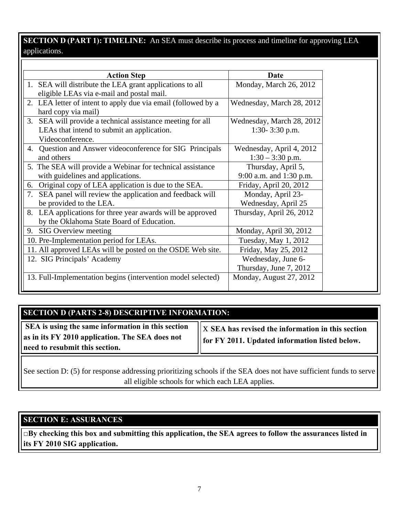## **SECTION D (PART 1): TIMELINE:** An SEA must describe its process and timeline for approving LEA applications.

| <b>Action Step</b>                                                                                                           | Date                                           |
|------------------------------------------------------------------------------------------------------------------------------|------------------------------------------------|
| 1. SEA will distribute the LEA grant applications to all<br>eligible LEAs via e-mail and postal mail.                        | Monday, March 26, 2012                         |
| 2. LEA letter of intent to apply due via email (followed by a<br>hard copy via mail)                                         | Wednesday, March 28, 2012                      |
| 3. SEA will provide a technical assistance meeting for all<br>LEAs that intend to submit an application.<br>Videoconference. | Wednesday, March 28, 2012<br>1:30- 3:30 p.m.   |
| 4. Question and Answer videoconference for SIG Principals<br>and others                                                      | Wednesday, April 4, 2012<br>$1:30 - 3:30$ p.m. |
| 5. The SEA will provide a Webinar for technical assistance<br>with guidelines and applications.                              | Thursday, April 5,<br>9:00 a.m. and 1:30 p.m.  |
| Original copy of LEA application is due to the SEA.<br>6.                                                                    | Friday, April 20, 2012                         |
| SEA panel will review the application and feedback will<br>7.<br>be provided to the LEA.                                     | Monday, April 23-<br>Wednesday, April 25       |
| 8. LEA applications for three year awards will be approved<br>by the Oklahoma State Board of Education.                      | Thursday, April 26, 2012                       |
| 9. SIG Overview meeting                                                                                                      | Monday, April 30, 2012                         |
| 10. Pre-Implementation period for LEAs.                                                                                      | Tuesday, May 1, 2012                           |
| 11. All approved LEAs will be posted on the OSDE Web site.                                                                   | Friday, May 25, 2012                           |
| 12. SIG Principals' Academy                                                                                                  | Wednesday, June 6-<br>Thursday, June 7, 2012   |
| 13. Full-Implementation begins (intervention model selected)                                                                 | Monday, August 27, 2012                        |

## **SECTION D (PARTS 2-8) DESCRIPTIVE INFORMATION:**

 **SEA is using the same information in this section as in its FY 2010 application. The SEA does not need to resubmit this section.** 

x **SEA has revised the information in this section for FY 2011. Updated information listed below.** 

See section D: (5) for response addressing prioritizing schools if the SEA does not have sufficient funds to serve all eligible schools for which each LEA applies.

## **SECTION E: ASSURANCES**

**□By checking this box and submitting this application, the SEA agrees to follow the assurances listed in its FY 2010 SIG application.**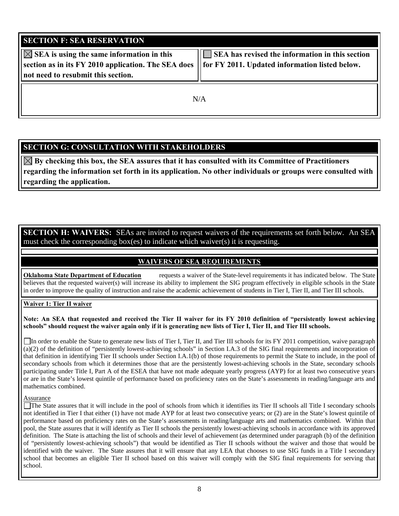| <b>SECTION F: SEA RESERVATION</b>                                                                                                                   |                                                                                                               |
|-----------------------------------------------------------------------------------------------------------------------------------------------------|---------------------------------------------------------------------------------------------------------------|
| $ \boxtimes$ SEA is using the same information in this<br>section as in its FY 2010 application. The SEA does<br>not need to resubmit this section. | SEA has revised the information in this section<br><b>Solution</b> FY 2011. Updated information listed below. |
|                                                                                                                                                     | N/A                                                                                                           |

## **SECTION G: CONSULTATION WITH STAKEHOLDERS**

 $\boxtimes$  By checking this box, the SEA assures that it has consulted with its Committee of Practitioners **regarding the information set forth in its application. No other individuals or groups were consulted with regarding the application.** 

## **SECTION H: WAIVERS:** SEAs are invited to request waivers of the requirements set forth below. An SEA must check the corresponding box(es) to indicate which waiver(s) it is requesting.

## **WAIVERS OF SEA REQUIREMENTS**

**Oklahoma State Department of Education** requests a waiver of the State-level requirements it has indicated below. The State believes that the requested waiver(s) will increase its ability to implement the SIG program effectively in eligible schools in the State in order to improve the quality of instruction and raise the academic achievement of students in Tier I, Tier II, and Tier III schools.

#### **Waiver 1: Tier II waiver**

#### **Note: An SEA that requested and received the Tier II waiver for its FY 2010 definition of "persistently lowest achieving schools" should request the waiver again only if it is generating new lists of Tier I, Tier II, and Tier III schools.**

In order to enable the State to generate new lists of Tier I, Tier II, and Tier III schools for its FY 2011 competition, waive paragraph (a)(2) of the definition of "persistently lowest-achieving schools" in Section I.A.3 of the SIG final requirements and incorporation of that definition in identifying Tier II schools under Section I.A.1(b) of those requirements to permit the State to include, in the pool of secondary schools from which it determines those that are the persistently lowest-achieving schools in the State, secondary schools participating under Title I, Part A of the ESEA that have not made adequate yearly progress (AYP) for at least two consecutive years or are in the State's lowest quintile of performance based on proficiency rates on the State's assessments in reading/language arts and mathematics combined.

#### Assurance

The State assures that it will include in the pool of schools from which it identifies its Tier II schools all Title I secondary schools not identified in Tier I that either (1) have not made AYP for at least two consecutive years; or (2) are in the State's lowest quintile of performance based on proficiency rates on the State's assessments in reading/language arts and mathematics combined. Within that pool, the State assures that it will identify as Tier II schools the persistently lowest-achieving schools in accordance with its approved definition. The State is attaching the list of schools and their level of achievement (as determined under paragraph (b) of the definition of "persistently lowest-achieving schools") that would be identified as Tier II schools without the waiver and those that would be identified with the waiver. The State assures that it will ensure that any LEA that chooses to use SIG funds in a Title I secondary school that becomes an eligible Tier II school based on this waiver will comply with the SIG final requirements for serving that school.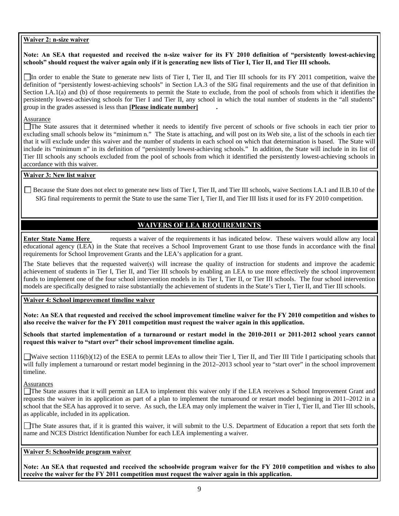#### **Waiver 2: n-size waiver**

#### **Note: An SEA that requested and received the n-size waiver for its FY 2010 definition of "persistently lowest-achieving schools" should request the waiver again only if it is generating new lists of Tier I, Tier II, and Tier III schools.**

In order to enable the State to generate new lists of Tier I, Tier II, and Tier III schools for its FY 2011 competition, waive the definition of "persistently lowest-achieving schools" in Section I.A.3 of the SIG final requirements and the use of that definition in Section I.A.1(a) and (b) of those requirements to permit the State to exclude, from the pool of schools from which it identifies the persistently lowest-achieving schools for Tier I and Tier II, any school in which the total number of students in the "all students" group in the grades assessed is less than **[Please indicate number] .** 

#### Assurance

The State assures that it determined whether it needs to identify five percent of schools or five schools in each tier prior to excluding small schools below its "minimum n." The State is attaching, and will post on its Web site, a list of the schools in each tier that it will exclude under this waiver and the number of students in each school on which that determination is based. The State will include its "minimum n" in its definition of "persistently lowest-achieving schools." In addition, the State will include in its list of Tier III schools any schools excluded from the pool of schools from which it identified the persistently lowest-achieving schools in accordance with this waiver.

#### **Waiver 3: New list waiver**

 Because the State does not elect to generate new lists of Tier I, Tier II, and Tier III schools, waive Sections I.A.1 and II.B.10 of the SIG final requirements to permit the State to use the same Tier I, Tier II, and Tier III lists it used for its FY 2010 competition.

## **WAIVERS OF LEA REQUIREMENTS**

**Enter State Name Here** requests a waiver of the requirements it has indicated below. These waivers would allow any local educational agency (LEA) in the State that receives a School Improvement Grant to use those funds in accordance with the final requirements for School Improvement Grants and the LEA's application for a grant.

The State believes that the requested waiver(s) will increase the quality of instruction for students and improve the academic achievement of students in Tier I, Tier II, and Tier III schools by enabling an LEA to use more effectively the school improvement funds to implement one of the four school intervention models in its Tier I, Tier II, or Tier III schools. The four school intervention models are specifically designed to raise substantially the achievement of students in the State's Tier I, Tier II, and Tier III schools.

**Waiver 4: School improvement timeline waiver** 

**Note: An SEA that requested and received the school improvement timeline waiver for the FY 2010 competition and wishes to also receive the waiver for the FY 2011 competition must request the waiver again in this application.**

**Schools that started implementation of a turnaround or restart model in the 2010-2011 or 2011-2012 school years cannot request this waiver to "start over" their school improvement timeline again.** 

Waive section 1116(b)(12) of the ESEA to permit LEAs to allow their Tier I, Tier II, and Tier III Title I participating schools that will fully implement a turnaround or restart model beginning in the 2012–2013 school year to "start over" in the school improvement timeline.

#### Assurances

The State assures that it will permit an LEA to implement this waiver only if the LEA receives a School Improvement Grant and requests the waiver in its application as part of a plan to implement the turnaround or restart model beginning in 2011–2012 in a school that the SEA has approved it to serve. As such, the LEA may only implement the waiver in Tier I, Tier II, and Tier III schools, as applicable, included in its application.

The State assures that, if it is granted this waiver, it will submit to the U.S. Department of Education a report that sets forth the name and NCES District Identification Number for each LEA implementing a waiver.

#### **Waiver 5: Schoolwide program waiver**

**Note: An SEA that requested and received the schoolwide program waiver for the FY 2010 competition and wishes to also receive the waiver for the FY 2011 competition must request the waiver again in this application.**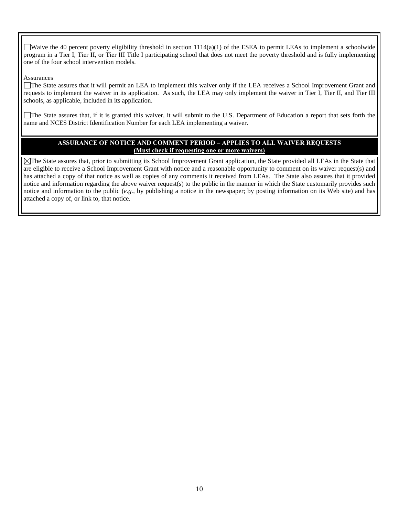Waive the 40 percent poverty eligibility threshold in section  $1114(a)(1)$  of the ESEA to permit LEAs to implement a schoolwide program in a Tier I, Tier II, or Tier III Title I participating school that does not meet the poverty threshold and is fully implementing one of the four school intervention models.

#### **Assurances**

The State assures that it will permit an LEA to implement this waiver only if the LEA receives a School Improvement Grant and requests to implement the waiver in its application. As such, the LEA may only implement the waiver in Tier I, Tier II, and Tier III schools, as applicable, included in its application.

The State assures that, if it is granted this waiver, it will submit to the U.S. Department of Education a report that sets forth the name and NCES District Identification Number for each LEA implementing a waiver.

#### **ASSURANCE OF NOTICE AND COMMENT PERIOD – APPLIES TO ALL WAIVER REQUESTS (Must check if requesting one or more waivers)**

The State assures that, prior to submitting its School Improvement Grant application, the State provided all LEAs in the State that are eligible to receive a School Improvement Grant with notice and a reasonable opportunity to comment on its waiver request(s) and has attached a copy of that notice as well as copies of any comments it received from LEAs. The State also assures that it provided notice and information regarding the above waiver request(s) to the public in the manner in which the State customarily provides such notice and information to the public (*e.g.*, by publishing a notice in the newspaper; by posting information on its Web site) and has attached a copy of, or link to, that notice.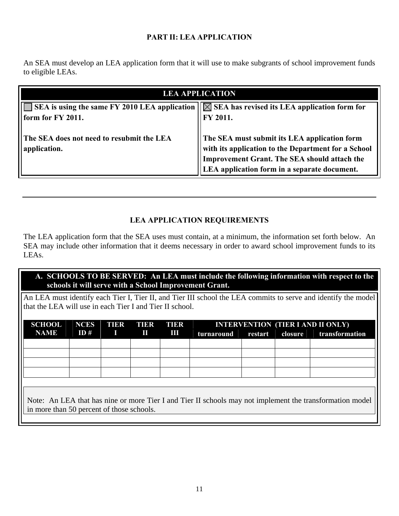## **PART II: LEA APPLICATION**

An SEA must develop an LEA application form that it will use to make subgrants of school improvement funds to eligible LEAs.

| <b>LEA APPLICATION</b>                                                                                                     |                                                                                                                                                                                                     |  |  |
|----------------------------------------------------------------------------------------------------------------------------|-----------------------------------------------------------------------------------------------------------------------------------------------------------------------------------------------------|--|--|
| SEA is using the same FY 2010 LEA application $  \times$ SEA has revised its LEA application form for<br>form for FY 2011. | FY 2011.                                                                                                                                                                                            |  |  |
| The SEA does not need to resubmit the LEA<br>application.                                                                  | The SEA must submit its LEA application form<br>with its application to the Department for a School<br>Improvement Grant. The SEA should attach the<br>LEA application form in a separate document. |  |  |

## **LEA APPLICATION REQUIREMENTS**

The LEA application form that the SEA uses must contain, at a minimum, the information set forth below. An SEA may include other information that it deems necessary in order to award school improvement funds to its LEAs.

## **A. SCHOOLS TO BE SERVED: An LEA must include the following information with respect to the schools it will serve with a School Improvement Grant.**

An LEA must identify each Tier I, Tier II, and Tier III school the LEA commits to serve and identify the model that the LEA will use in each Tier I and Tier II school.

| <b>SCHOOL</b>                                                                                                                                                     | <b>NCES</b> | <b>TIER</b> | TIER | TIER | <b>INTERVENTION (TIER I AND II ONLY)</b> |         |         |                |
|-------------------------------------------------------------------------------------------------------------------------------------------------------------------|-------------|-------------|------|------|------------------------------------------|---------|---------|----------------|
| <b>NAME</b>                                                                                                                                                       | ID#         |             | Ш    | Ш    | turnaround                               | restart | closure | transformation |
|                                                                                                                                                                   |             |             |      |      |                                          |         |         |                |
|                                                                                                                                                                   |             |             |      |      |                                          |         |         |                |
|                                                                                                                                                                   |             |             |      |      |                                          |         |         |                |
|                                                                                                                                                                   |             |             |      |      |                                          |         |         |                |
|                                                                                                                                                                   |             |             |      |      |                                          |         |         |                |
|                                                                                                                                                                   |             |             |      |      |                                          |         |         |                |
| Note: An LEA that has nine or more Tier I and Tier II schools may not implement the transformation model<br>$\parallel$ in more than 50 percent of those schools. |             |             |      |      |                                          |         |         |                |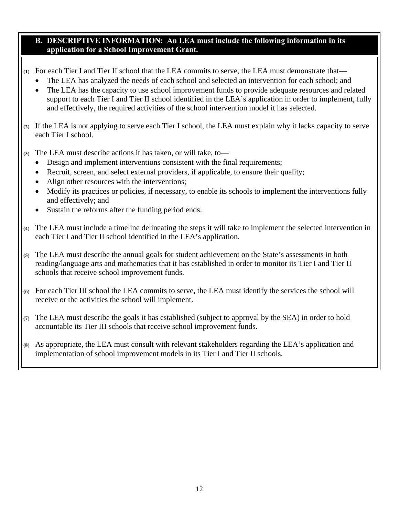### **B. DESCRIPTIVE INFORMATION: An LEA must include the following information in its application for a School Improvement Grant.**

- **(1)** For each Tier I and Tier II school that the LEA commits to serve, the LEA must demonstrate that—
	- The LEA has analyzed the needs of each school and selected an intervention for each school; and
	- The LEA has the capacity to use school improvement funds to provide adequate resources and related support to each Tier I and Tier II school identified in the LEA's application in order to implement, fully and effectively, the required activities of the school intervention model it has selected.
- **(2)** If the LEA is not applying to serve each Tier I school, the LEA must explain why it lacks capacity to serve each Tier I school.
- **(3)** The LEA must describe actions it has taken, or will take, to—
	- Design and implement interventions consistent with the final requirements;
	- Recruit, screen, and select external providers, if applicable, to ensure their quality;
	- Align other resources with the interventions;
	- Modify its practices or policies, if necessary, to enable its schools to implement the interventions fully and effectively; and
	- Sustain the reforms after the funding period ends.
- **(4)** The LEA must include a timeline delineating the steps it will take to implement the selected intervention in each Tier I and Tier II school identified in the LEA's application.
- **(5)** The LEA must describe the annual goals for student achievement on the State's assessments in both reading/language arts and mathematics that it has established in order to monitor its Tier I and Tier II schools that receive school improvement funds.
- **(6)** For each Tier III school the LEA commits to serve, the LEA must identify the services the school will receive or the activities the school will implement.
- **(7)** The LEA must describe the goals it has established (subject to approval by the SEA) in order to hold accountable its Tier III schools that receive school improvement funds.
- **(8)** As appropriate, the LEA must consult with relevant stakeholders regarding the LEA's application and implementation of school improvement models in its Tier I and Tier II schools.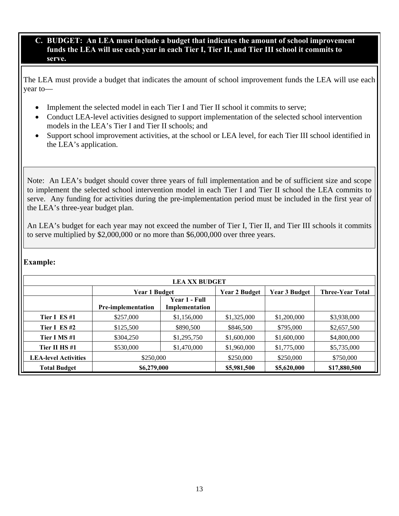#### **C. BUDGET: An LEA must include a budget that indicates the amount of school improvement funds the LEA will use each year in each Tier I, Tier II, and Tier III school it commits to serve.**

The LEA must provide a budget that indicates the amount of school improvement funds the LEA will use each year to—

- Implement the selected model in each Tier I and Tier II school it commits to serve;
- Conduct LEA-level activities designed to support implementation of the selected school intervention models in the LEA's Tier I and Tier II schools; and
- Support school improvement activities, at the school or LEA level, for each Tier III school identified in the LEA's application.

Note: An LEA's budget should cover three years of full implementation and be of sufficient size and scope to implement the selected school intervention model in each Tier I and Tier II school the LEA commits to serve. Any funding for activities during the pre-implementation period must be included in the first year of the LEA's three-year budget plan.

An LEA's budget for each year may not exceed the number of Tier I, Tier II, and Tier III schools it commits to serve multiplied by \$2,000,000 or no more than \$6,000,000 over three years.

#### **Example:**

| <b>LEA XX BUDGET</b>        |                           |                                 |                      |                      |                         |  |  |
|-----------------------------|---------------------------|---------------------------------|----------------------|----------------------|-------------------------|--|--|
|                             | <b>Year 1 Budget</b>      |                                 | <b>Year 2 Budget</b> | <b>Year 3 Budget</b> | <b>Three-Year Total</b> |  |  |
|                             | <b>Pre-implementation</b> | Year 1 - Full<br>Implementation |                      |                      |                         |  |  |
| Tier I ES#1                 | \$257,000                 | \$1,156,000                     | \$1,325,000          | \$1,200,000          | \$3,938,000             |  |  |
| Tier I ES#2                 | \$125,500                 | \$890,500                       | \$846,500            | \$795,000            | \$2,657,500             |  |  |
| Tier I MS #1                | \$304,250                 | \$1,295,750                     | \$1,600,000          | \$1,600,000          | \$4,800,000             |  |  |
| Tier II HS#1                | \$530,000                 | \$1,470,000                     | \$1,960,000          | \$1,775,000          | \$5,735,000             |  |  |
| <b>LEA-level Activities</b> | \$250,000                 |                                 | \$250,000            | \$250,000            | \$750,000               |  |  |
| <b>Total Budget</b>         | \$6,279,000               |                                 | \$5,981,500          | \$5,620,000          | \$17,880,500            |  |  |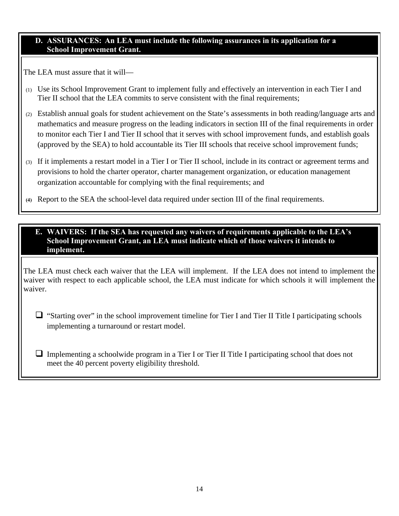#### **D. ASSURANCES: An LEA must include the following assurances in its application for a School Improvement Grant.**

The LEA must assure that it will—

- (1) Use its School Improvement Grant to implement fully and effectively an intervention in each Tier I and Tier II school that the LEA commits to serve consistent with the final requirements;
- (2) Establish annual goals for student achievement on the State's assessments in both reading/language arts and mathematics and measure progress on the leading indicators in section III of the final requirements in order to monitor each Tier I and Tier II school that it serves with school improvement funds, and establish goals (approved by the SEA) to hold accountable its Tier III schools that receive school improvement funds;
- (3) If it implements a restart model in a Tier I or Tier II school, include in its contract or agreement terms and provisions to hold the charter operator, charter management organization, or education management organization accountable for complying with the final requirements; and
- **(4)** Report to the SEA the school-level data required under section III of the final requirements.

#### **E. WAIVERS: If the SEA has requested any waivers of requirements applicable to the LEA's School Improvement Grant, an LEA must indicate which of those waivers it intends to implement.**

The LEA must check each waiver that the LEA will implement. If the LEA does not intend to implement the waiver with respect to each applicable school, the LEA must indicate for which schools it will implement the waiver.

 $\Box$  "Starting over" in the school improvement timeline for Tier I and Tier II Title I participating schools implementing a turnaround or restart model.

 $\Box$  Implementing a schoolwide program in a Tier I or Tier II Title I participating school that does not meet the 40 percent poverty eligibility threshold.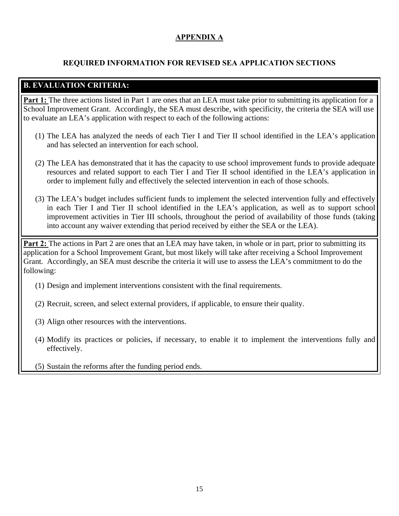## **APPENDIX A**

## **REQUIRED INFORMATION FOR REVISED SEA APPLICATION SECTIONS**

## **B. EVALUATION CRITERIA:**

**Part 1:** The three actions listed in Part 1 are ones that an LEA must take prior to submitting its application for a School Improvement Grant. Accordingly, the SEA must describe, with specificity, the criteria the SEA will use to evaluate an LEA's application with respect to each of the following actions:

- (1) The LEA has analyzed the needs of each Tier I and Tier II school identified in the LEA's application and has selected an intervention for each school.
- (2) The LEA has demonstrated that it has the capacity to use school improvement funds to provide adequate resources and related support to each Tier I and Tier II school identified in the LEA's application in order to implement fully and effectively the selected intervention in each of those schools.
- (3) The LEA's budget includes sufficient funds to implement the selected intervention fully and effectively in each Tier I and Tier II school identified in the LEA's application, as well as to support school improvement activities in Tier III schools, throughout the period of availability of those funds (taking into account any waiver extending that period received by either the SEA or the LEA).

**Part 2:** The actions in Part 2 are ones that an LEA may have taken, in whole or in part, prior to submitting its application for a School Improvement Grant, but most likely will take after receiving a School Improvement Grant. Accordingly, an SEA must describe the criteria it will use to assess the LEA's commitment to do the following:

- (1) Design and implement interventions consistent with the final requirements.
- (2) Recruit, screen, and select external providers, if applicable, to ensure their quality.
- (3) Align other resources with the interventions.
- (4) Modify its practices or policies, if necessary, to enable it to implement the interventions fully and effectively.
- (5) Sustain the reforms after the funding period ends.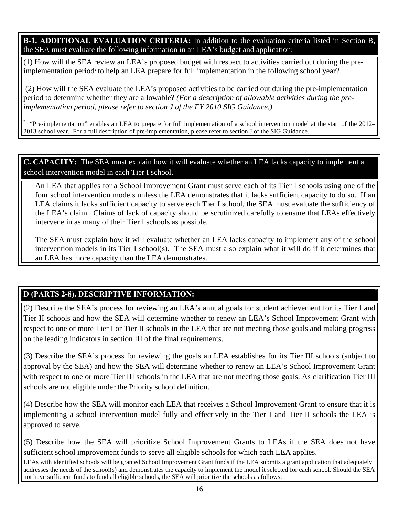**B-1. ADDITIONAL EVALUATION CRITERIA:** In addition to the evaluation criteria listed in Section B, the SEA must evaluate the following information in an LEA's budget and application:

(1) How will the SEA review an LEA's proposed budget with respect to activities carried out during the preimplementation period<sup>2</sup> to help an LEA prepare for full implementation in the following school year?

 (2) How will the SEA evaluate the LEA's proposed activities to be carried out during the pre-implementation period to determine whether they are allowable? *(For a description of allowable activities during the preimplementation period, please refer to section J of the FY 2010 SIG Guidance.)* 

<sup>2</sup> "Pre-implementation" enables an LEA to prepare for full implementation of a school intervention model at the start of the 2012– 2013 school year. For a full description of pre-implementation, please refer to section J of the SIG Guidance.

## **C. CAPACITY:** The SEA must explain how it will evaluate whether an LEA lacks capacity to implement a school intervention model in each Tier I school.

An LEA that applies for a School Improvement Grant must serve each of its Tier I schools using one of the four school intervention models unless the LEA demonstrates that it lacks sufficient capacity to do so. If an LEA claims it lacks sufficient capacity to serve each Tier I school, the SEA must evaluate the sufficiency of the LEA's claim. Claims of lack of capacity should be scrutinized carefully to ensure that LEAs effectively intervene in as many of their Tier I schools as possible.

The SEA must explain how it will evaluate whether an LEA lacks capacity to implement any of the school intervention models in its Tier I school(s). The SEA must also explain what it will do if it determines that an LEA has more capacity than the LEA demonstrates.

## **D (PARTS 2-8). DESCRIPTIVE INFORMATION:**

(2) Describe the SEA's process for reviewing an LEA's annual goals for student achievement for its Tier I and Tier II schools and how the SEA will determine whether to renew an LEA's School Improvement Grant with respect to one or more Tier I or Tier II schools in the LEA that are not meeting those goals and making progress on the leading indicators in section III of the final requirements.

(3) Describe the SEA's process for reviewing the goals an LEA establishes for its Tier III schools (subject to approval by the SEA) and how the SEA will determine whether to renew an LEA's School Improvement Grant with respect to one or more Tier III schools in the LEA that are not meeting those goals. As clarification Tier III schools are not eligible under the Priority school definition.

(4) Describe how the SEA will monitor each LEA that receives a School Improvement Grant to ensure that it is implementing a school intervention model fully and effectively in the Tier I and Tier II schools the LEA is approved to serve.

(5) Describe how the SEA will prioritize School Improvement Grants to LEAs if the SEA does not have sufficient school improvement funds to serve all eligible schools for which each LEA applies.

LEAs with identified schools will be granted School Improvement Grant funds if the LEA submits a grant application that adequately addresses the needs of the school(s) and demonstrates the capacity to implement the model it selected for each school. Should the SEA not have sufficient funds to fund all eligible schools, the SEA will prioritize the schools as follows: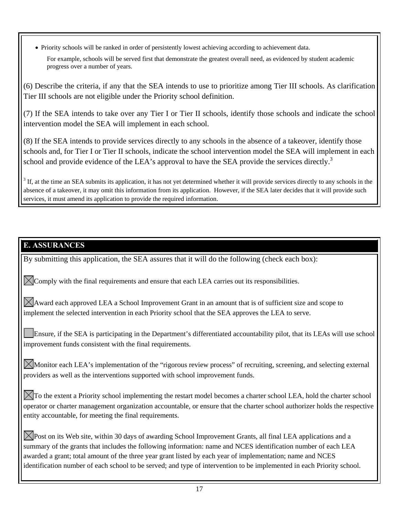Priority schools will be ranked in order of persistently lowest achieving according to achievement data.

For example, schools will be served first that demonstrate the greatest overall need, as evidenced by student academic progress over a number of years.

(6) Describe the criteria, if any that the SEA intends to use to prioritize among Tier III schools. As clarification Tier III schools are not eligible under the Priority school definition.

(7) If the SEA intends to take over any Tier I or Tier II schools, identify those schools and indicate the school intervention model the SEA will implement in each school.

(8) If the SEA intends to provide services directly to any schools in the absence of a takeover, identify those schools and, for Tier I or Tier II schools, indicate the school intervention model the SEA will implement in each school and provide evidence of the LEA's approval to have the SEA provide the services directly.<sup>3</sup>

 $3$  If, at the time an SEA submits its application, it has not yet determined whether it will provide services directly to any schools in the absence of a takeover, it may omit this information from its application. However, if the SEA later decides that it will provide such services, it must amend its application to provide the required information.

## **E. ASSURANCES**

By submitting this application, the SEA assures that it will do the following (check each box):

 $\bowtie$  Comply with the final requirements and ensure that each LEA carries out its responsibilities.

 $\boxtimes$  Award each approved LEA a School Improvement Grant in an amount that is of sufficient size and scope to implement the selected intervention in each Priority school that the SEA approves the LEA to serve.

Ensure, if the SEA is participating in the Department's differentiated accountability pilot, that its LEAs will use school improvement funds consistent with the final requirements.

Monitor each LEA's implementation of the "rigorous review process" of recruiting, screening, and selecting external providers as well as the interventions supported with school improvement funds.

 $\Xi$ To the extent a Priority school implementing the restart model becomes a charter school LEA, hold the charter school operator or charter management organization accountable, or ensure that the charter school authorizer holds the respective entity accountable, for meeting the final requirements.

 $\bowtie$  Post on its Web site, within 30 days of awarding School Improvement Grants, all final LEA applications and a summary of the grants that includes the following information: name and NCES identification number of each LEA awarded a grant; total amount of the three year grant listed by each year of implementation; name and NCES identification number of each school to be served; and type of intervention to be implemented in each Priority school.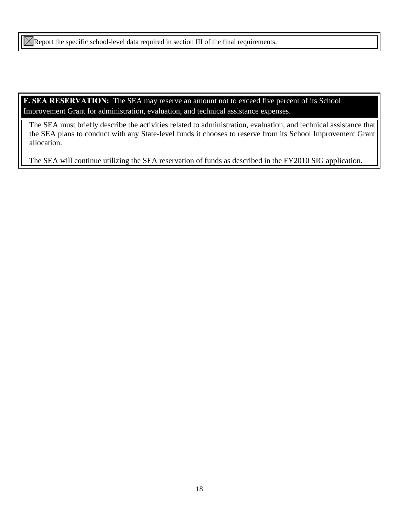$\boxtimes$ Report the specific school-level data required in section III of the final requirements.

**F. SEA RESERVATION:** The SEA may reserve an amount not to exceed five percent of its School Improvement Grant for administration, evaluation, and technical assistance expenses.

The SEA must briefly describe the activities related to administration, evaluation, and technical assistance that the SEA plans to conduct with any State-level funds it chooses to reserve from its School Improvement Grant allocation.

The SEA will continue utilizing the SEA reservation of funds as described in the FY2010 SIG application.